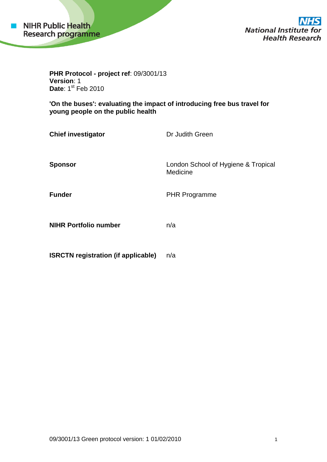

**National Institute for Health Research** 

**PHR Protocol - project ref**: 09/3001/13 **Version**: 1 Date: 1<sup>st</sup> Feb 2010

**'On the buses': evaluating the impact of introducing free bus travel for young people on the public health**

| <b>Chief investigator</b>    | Dr Judith Green                                 |
|------------------------------|-------------------------------------------------|
| <b>Sponsor</b>               | London School of Hygiene & Tropical<br>Medicine |
| <b>Funder</b>                | <b>PHR Programme</b>                            |
| <b>NIHR Portfolio number</b> | n/a                                             |

**ISRCTN registration (if applicable)** n/a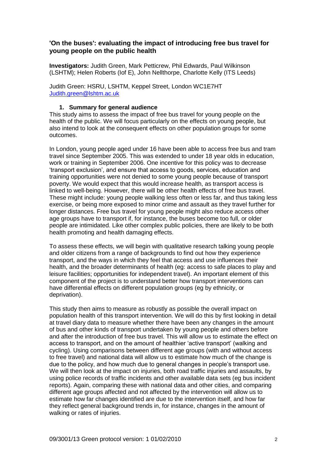# **'On the buses': evaluating the impact of introducing free bus travel for young people on the public health**

**Investigators:** Judith Green, Mark Petticrew, Phil Edwards, Paul Wilkinson (LSHTM); Helen Roberts (Iof E), John Nellthorpe, Charlotte Kelly (ITS Leeds)

Judith Green: HSRU, LSHTM, Keppel Street, London WC1E7HT [Judith.green@lshtm.ac.uk](mailto:Judith.green@lshtm.ac.uk)

## **1. Summary for general audience**

This study aims to assess the impact of free bus travel for young people on the health of the public. We will focus particularly on the effects on young people, but also intend to look at the consequent effects on other population groups for some outcomes.

In London, young people aged under 16 have been able to access free bus and tram travel since September 2005. This was extended to under 18 year olds in education, work or training in September 2006. One incentive for this policy was to decrease "transport exclusion", and ensure that access to goods, services, education and training opportunities were not denied to some young people because of transport poverty. We would expect that this would increase health, as transport access is linked to well-being. However, there will be other health effects of free bus travel. These might include: young people walking less often or less far, and thus taking less exercise, or being more exposed to minor crime and assault as they travel further for longer distances. Free bus travel for young people might also reduce access other age groups have to transport if, for instance, the buses become too full, or older people are intimidated. Like other complex public policies, there are likely to be both health promoting and health damaging effects.

To assess these effects, we will begin with qualitative research talking young people and older citizens from a range of backgrounds to find out how they experience transport, and the ways in which they feel that access and use influences their health, and the broader determinants of health (eg: access to safe places to play and leisure facilities; opportunities for independent travel). An important element of this component of the project is to understand better how transport interventions can have differential effects on different population groups (eg by ethnicity, or deprivation).

This study then aims to measure as robustly as possible the overall impact on population health of this transport intervention. We will do this by first looking in detail at travel diary data to measure whether there have been any changes in the amount of bus and other kinds of transport undertaken by young people and others before and after the introduction of free bus travel. This will allow us to estimate the effect on access to transport, and on the amount of healthier "active transport" (walking and cycling). Using comparisons between different age groups (with and without access to free travel) and national data will allow us to estimate how much of the change is due to the policy, and how much due to general changes in people"s transport use. We will then look at the impact on injuries, both road traffic injuries and assaults, by using police records of traffic incidents and other available data sets (eg bus incident reports). Again, comparing these with national data and other cities, and comparing different age groups affected and not affected by the intervention will allow us to estimate how far changes identified are due to the intervention itself, and how far they reflect general background trends in, for instance, changes in the amount of walking or rates of injuries.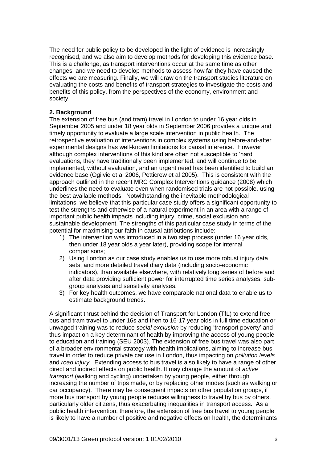The need for public policy to be developed in the light of evidence is increasingly recognised, and we also aim to develop methods for developing this evidence base. This is a challenge, as transport interventions occur at the same time as other changes, and we need to develop methods to assess how far they have caused the effects we are measuring. Finally, we will draw on the transport studies literature on evaluating the costs and benefits of transport strategies to investigate the costs and benefits of this policy, from the perspectives of the economy, environment and society.

### **2. Background**

The extension of free bus (and tram) travel in London to under 16 year olds in September 2005 and under 18 year olds in September 2006 provides a unique and timely opportunity to evaluate a large scale intervention in public health. The retrospective evaluation of interventions in complex systems using before-and-after experimental designs has well-known limitations for causal inference. However, although complex interventions of this kind are often not susceptible to "hard" evaluations, they have traditionally been implemented, and will continue to be implemented, without evaluation, and an urgent need has been identified to build an evidence base (Ogilvie et al 2006, Petticrew et al 2005). This is consistent with the approach outlined in the recent MRC Complex Interventions guidance (2008) which underlines the need to evaluate even when randomised trials are not possible, using the best available methods. Notwithstanding the inevitable methodological limitations, we believe that this particular case study offers a significant opportunity to test the strengths and otherwise of a natural experiment in an area with a range of important public health impacts including injury, crime, social exclusion and sustainable development. The strengths of this particular case study in terms of the potential for maximising our faith in causal attributions include:

- 1) The intervention was introduced in a two step process (under 16 year olds, then under 18 year olds a year later), providing scope for internal comparisons;
- 2) Using London as our case study enables us to use more robust injury data sets, and more detailed travel diary data (including socio-economic indicators), than available elsewhere, with relatively long series of before and after data providing sufficient power for interrupted time series analyses, subgroup analyses and sensitivity analyses.
- 3) For key health outcomes, we have comparable national data to enable us to estimate background trends.

A significant thrust behind the decision of Transport for London (TfL) to extend free bus and tram travel to under 16s and then to 16-17 year olds in full time education or unwaged training was to reduce *social exclusion* by reducing "transport poverty" and thus impact on a key determinant of health by improving the access of young people to education and training (SEU 2003). The extension of free bus travel was also part of a broader environmental strategy with health implications, aiming to increase bus travel in order to reduce private car use in London, thus impacting on *pollution levels*  and *road injury*. Extending access to bus travel is also likely to have a range of other direct and indirect effects on public health. It may change the amount of *active transport* (walking and cycling) undertaken by young people, either through increasing the number of trips made, or by replacing other modes (such as walking or car occupancy). There may be consequent impacts on other population groups, if more bus transport by young people reduces willingness to travel by bus by others, particularly older citizens, thus exacerbating inequalities in transport access. As a public health intervention, therefore, the extension of free bus travel to young people is likely to have a number of positive and negative effects on health, the determinants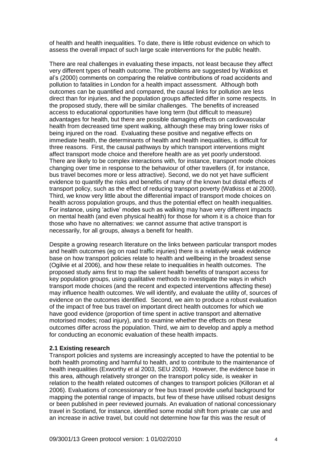of health and health inequalities. To date, there is little robust evidence on which to assess the overall impact of such large scale interventions for the public health.

There are real challenges in evaluating these impacts, not least because they affect very different types of health outcome. The problems are suggested by Watkiss et al"s (2000) comments on comparing the relative contributions of road accidents and pollution to fatalities in London for a health impact assessment. Although both outcomes can be quantified and compared, the causal links for pollution are less direct than for injuries, and the population groups affected differ in some respects. In the proposed study, there will be similar challenges. The benefits of increased access to educational opportunities have long term (but difficult to measure) advantages for health, but there are possible damaging effects on cardiovascular health from decreased time spent walking, although these may bring lower risks of being injured on the road. Evaluating these positive and negative effects on immediate health, the determinants of health and health inequalities, is difficult for three reasons. First, the causal pathways by which transport interventions might affect transport mode choice and therefore health are as yet poorly understood. There are likely to be complex interactions with, for instance, transport mode choices changing over time in response to the behaviour of other travellers (if, for instance, bus travel becomes more or less attractive). Second, we do not yet have sufficient evidence to quantify the risks and benefits of many of the known but distal effects of transport policy, such as the effect of reducing transport poverty (Watkiss et al 2000). Third, we know very little about the differential impact of transport mode choices on health across population groups, and thus the potential effect on health inequalities. For instance, using "active" modes such as walking may have very different impacts on mental health (and even physical health) for those for whom it is a choice than for those who have no alternatives: we cannot assume that active transport is necessarily, for all groups, always a benefit for health.

Despite a growing research literature on the links between particular transport modes and health outcomes (eg on road traffic injuries) there is a relatively weak evidence base on how transport policies relate to health and wellbeing in the broadest sense (Ogilvie et al 2006), and how these relate to inequalities in health outcomes. The proposed study aims first to map the salient health benefits of transport access for key population groups, using qualitative methods to investigate the ways in which transport mode choices (and the recent and expected interventions affecting these) may influence health outcomes. We will identify, and evaluate the utility of, sources of evidence on the outcomes identified. Second, we aim to produce a robust evaluation of the impact of free bus travel on important direct health outcomes for which we have good evidence (proportion of time spent in active transport and alternative motorised modes; road injury), and to examine whether the effects on these outcomes differ across the population. Third, we aim to develop and apply a method for conducting an economic evaluation of these health impacts.

### **2.1 Existing research**

Transport policies and systems are increasingly accepted to have the potential to be both health promoting and harmful to health, and to contribute to the maintenance of health inequalities (Exworthy et al 2003, SEU 2003). However, the evidence base in this area, although relatively stronger on the transport policy side, is weaker in relation to the health related outcomes of changes to transport policies (Killoran et al 2006). Evaluations of concessionary or free bus travel provide useful background for mapping the potential range of impacts, but few of these have utilised robust designs or been published in peer reviewed journals. An evaluation of national concessionary travel in Scotland, for instance, identified some modal shift from private car use and an increase in active travel, but could not determine how far this was the result of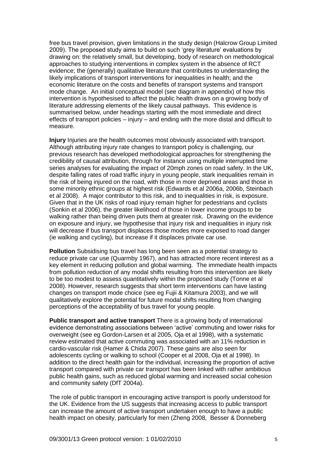free bus travel provision, given limitations in the study design (Halcrow Group Limited 2009). The proposed study aims to build on such "grey literature" evaluations by drawing on: the relatively small, but developing, body of research on methodological approaches to studying interventions in complex system in the absence of RCT evidence; the (generally) qualitative literature that contributes to understanding the likely implications of transport interventions for inequalities in health; and the economic literature on the costs and benefits of transport systems and transport mode change. An initial conceptual model (see diagram in appendix) of how this intervention is hypothesised to affect the public health draws on a growing body of literature addressing elements of the likely causal pathways. This evidence is summarised below, under headings starting with the most immediate and direct effects of transport policies – injury – and ending with the more distal and difficult to measure.

**Injury** Injuries are the health outcomes most obviously associated with transport. Although attributing injury rate changes to transport policy is challenging, our previous research has developed methodological approaches for strengthening the credibility of causal attribution, through for instance using multiple interrupted time series analyses for evaluating the impact of 20mph zones on road safety. In the UK, despite falling rates of road traffic injury in young people, stark inequalities remain in the risk of being injured on the road, with those in more deprived areas and those in some minority ethnic groups at highest risk (Edwards et al 2006a, 2006b, Steinbach et al 2008). A major contributor to this risk, and to inequalities in risk, is exposure. Given that in the UK risks of road injury remain higher for pedestrians and cyclists (Sonkin et al 2006), the greater likelihood of those in lower income groups to be walking rather than being driven puts them at greater risk. Drawing on the evidence on exposure and injury, we hypothesise that injury risk and inequalities in injury risk will decrease if bus transport displaces those modes more exposed to road danger (ie walking and cycling), but increase if it displaces private car use.

**Pollution** Subsidising bus travel has long been seen as a potential strategy to reduce private car use (Quarmby 1967), and has attracted more recent interest as a key element in reducing pollution and global warming. The immediate health impacts from pollution reduction of any modal shifts resulting from this intervention are likely to be too modest to assess quantitatively within the proposed study (Tonne et al 2008). However, research suggests that short term interventions can have lasting changes on transport mode choice (see eg Fujii & Kitamura 2003), and we will qualitatively explore the potential for future modal shifts resulting from changing perceptions of the acceptability of bus travel for young people.

**Public transport and active transport** There is a growing body of international evidence demonstrating associations between "active" commuting and lower risks for overweight (see eg Gordon-Larsen et al 2005, Oja et al 1998), with a systematic review estimated that active commuting was associated with an 11% reduction in cardio-vascular risk (Hamer & Chida 2007). These gains are also seen for adolescents cycling or walking to school (Cooper et al 2008, Oja et al 1998). In addition to the direct health gain for the individual, increasing the proportion of active transport compared with private car transport has been linked with rather ambitious public health gains, such as reduced global warming and increased social cohesion and community safety (DfT 2004a).

The role of public transport in encouraging active transport is poorly understood for the UK. Evidence from the US suggests that increasing access to public transport can increase the amount of active transport undertaken enough to have a public health impact on obesity, particularly for men (Zheng 2008, Besser & Donneberg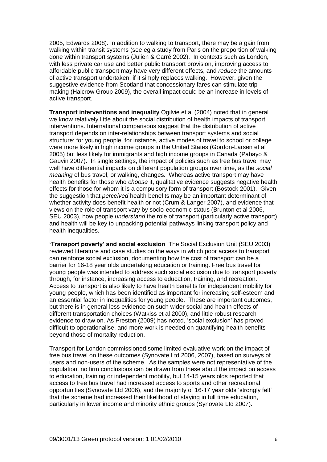2005, Edwards 2008). In addition to walking to transport, there may be a gain from walking within transit systems (see eg a study from Paris on the proportion of walking done within transport systems (Julien & Carré 2002). In contexts such as London, with less private car use and better public transport provision, improving access to affordable public transport may have very different effects, and *reduce* the amounts of active transport undertaken, if it simply replaces walking. However, given the suggestive evidence from Scotland that concessionary fares can stimulate trip making (Halcrow Group 2009), the overall impact could be an increase in levels of active transport.

**Transport interventions and inequality Ogilvie et al (2004) noted that in general** we know relatively little about the social distribution of health impacts of transport interventions. International comparisons suggest that the distribution of active transport depends on inter-relationships between transport systems and social structure: for young people, for instance, active modes of travel to school or college were more likely in high income groups in the United States (Gordon-Larsen et al 2005) but less likely for immigrants and high income groups in Canada (Pabayo & Gauvin 2007). In single settings, the impact of policies such as free bus travel may well have differential impacts on different population groups over time, as the *social meaning* of bus travel, or walking, changes. Whereas active transport may have health benefits for those who *choose* it, qualitative evidence suggests negative health effects for those for whom it is a compulsory form of transport (Bostock 2001). Given the suggestion that *perceived* health benefits may be an important determinant of whether activity does benefit health or not (Crum & Langer 2007), and evidence that views on the role of transport vary by socio-economic status (Brunton et al 2006, SEU 2003), how people *understand* the role of transport (particularly active transport) and health will be key to unpacking potential pathways linking transport policy and health inequalities.

**'Transport poverty' and social exclusion** The Social Exclusion Unit (SEU 2003) reviewed literature and case studies on the ways in which poor access to transport can reinforce social exclusion, documenting how the cost of transport can be a barrier for 16-18 year olds undertaking education or training. Free bus travel for young people was intended to address such social exclusion due to transport poverty through, for instance, increasing access to education, training, and recreation. Access to transport is also likely to have health benefits for independent mobility for young people, which has been identified as important for increasing self-esteem and an essential factor in inequalities for young people. These are important outcomes, but there is in general less evidence on such wider social and health effects of different transportation choices (Watkiss et al 2000), and little robust research evidence to draw on. As Preston (2009) has noted, "social exclusion" has proved difficult to operationalise, and more work is needed on quantifying health benefits beyond those of mortality reduction.

Transport for London commissioned some limited evaluative work on the impact of free bus travel on these outcomes (Synovate Ltd 2006, 2007), based on surveys of users and non-users of the scheme. As the samples were not representative of the population, no firm conclusions can be drawn from these about the impact on access to education, training or independent mobility, but 14-15 years olds reported that access to free bus travel had increased access to sports and other recreational opportunities (Synovate Ltd 2006), and the majority of 16-17 year olds "strongly felt" that the scheme had increased their likelihood of staying in full time education, particularly in lower income and minority ethnic groups (Synovate Ltd 2007).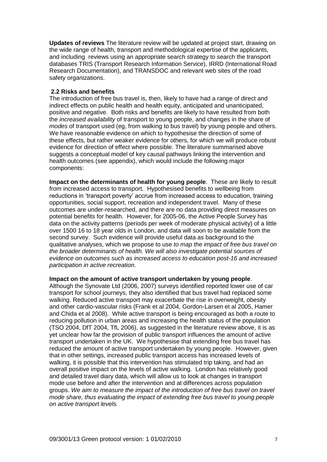**Updates of reviews** The literature review will be updated at project start, drawing on the wide range of health, transport and methodological expertise of the applicants, and including reviews using an appropriate search strategy to search the transport databases TRIS (Transport Research Information Service), IRRD (International Road Research Documentation), and TRANSDOC and relevant web sites of the road safety organizations.

# **2.2 Risks and benefits**

The introduction of free bus travel is, then, likely to have had a range of direct and indirect effects on public health and health equity, anticipated and unanticipated, positive and negative. Both risks and benefits are likely to have resulted from both the *increased availability* of transport to young people, and changes in the share of *modes* of transport used (eg, from walking to bus travel) by young people and others. We have reasonable evidence on which to hypothesise the direction of some of these effects, but rather weaker evidence for others, for which we will produce robust evidence for direction of effect where possible. The literature summarised above suggests a conceptual model of key causal pathways linking the intervention and health outcomes (see appendix), which would include the following major components:

**Impact on the determinants of health for young people**. These are likely to result from increased access to transport. Hypothesised benefits to wellbeing from reductions in "transport poverty" accrue from increased access to education, training opportunities, social support, recreation and independent travel. Many of these outcomes are under-researched, and there are no data providing direct measures on potential benefits for health. However, for 2005-06, the Active People Survey has data on the activity patterns (periods per week of moderate physical activity) of a little over 1500 16 to 18 year olds in London, and data will soon to be available from the second survey. Such evidence will provide useful data as background to the qualitative analyses, which we propose to use *to map the impact of free bus travel on the broader determinants of health. We will also investigate potential sources of evidence on outcomes such as increased access to education post-16 and increased participation in active recreation.* 

**Impact on the amount of active transport undertaken by young people**.

Although the Synovate Ltd (2006, 2007) surveys identified reported lower use of car transport for school journeys, they also identified that bus travel had replaced some walking. Reduced active transport may exacerbate the rise in overweight, obesity and other cardio-vascular risks (Frank et al 2004, Gordon-Larsen et al 2005, Hamer and Chida et al 2008). While active transport is being encouraged as both a route to reducing pollution in urban areas and increasing the health status of the population (TSO 2004, DfT 2004, TfL 2006), as suggested in the literature review above, it is as yet unclear how far the provision of public transport influences the amount of active transport undertaken in the UK. We hypothesise that extending free bus travel has reduced the amount of active transport undertaken by young people. However, given that in other settings, increased public transport access has increased levels of walking, it is possible that this intervention has stimulated trip taking, and had an overall positive impact on the levels of active walking. London has relatively good and detailed travel diary data, which will allow us to look at changes in transport mode use before and after the intervention and at differences across population groups. *We aim to measure the impact of the introduction of free bus travel on travel mode share, thus evaluating the impact of extending free bus travel to young people on active transport levels.*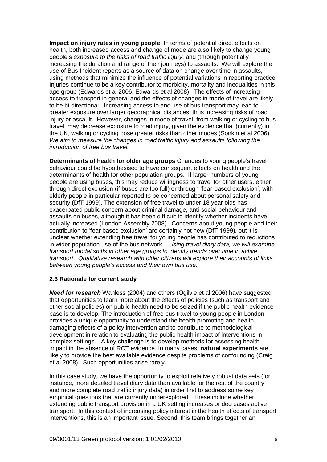**Impact on injury rates in young people**. In terms of potential direct effects on health, both increased access and change of mode are also likely to change young people"s *exposure to the risks of road traffic injury*, and (through potentially increasing the duration and range of their journeys) to assaults. We will explore the use of Bus Incident reports as a source of data on change over time in assaults, using methods that minimize the influence of potential variations in reporting practice. Injuries continue to be a key contributor to morbidity, mortality and inequalities in this age group (Edwards et al 2006, Edwards et al 2008). The effects of increasing access to transport in general and the effects of changes in mode of travel are likely to be bi-directional. Increasing access to and use of bus transport may lead to greater exposure over larger geographical distances, thus increasing risks of road injury or assault. However, changes in mode of travel, from walking or cycling to bus travel, may decrease exposure to road injury, given the evidence that (currently) in the UK, walking or cycling pose greater risks than other modes (Sonkin et al 2006). *We aim to measure the changes in road traffic injury and assaults following the introduction of free bus travel.*

**Determinants of health for older age groups** Changes to young people's travel behaviour could be hypothesised to have consequent effects on health and the determinants of health for other population groups. If larger numbers of young people are using buses, this may reduce willingness to travel for other users, either through direct exclusion (if buses are too full) or through "fear-based exclusion", with elderly people in particular reported to be concerned about personal safety and security (DfT 1999). The extension of free travel to under 18 year olds has exacerbated public concern about criminal damage, anti-social behaviour and assaults on buses, although it has been difficult to identify whether incidents have actually increased (London Assembly 2008). Concerns about young people and their contribution to "fear based exclusion" are certainly not new (DfT 1999), but it is unclear whether extending free travel for young people has contributed to reductions in wider population use of the bus network. *Using travel diary data, we will examine transport modal shifts in other age groups to identify trends over time in active transport. Qualitative research with older citizens will explore their accounts of links between young people's access and their own bus use.*

### **2.3 Rationale for current study**

*Need for research* Wanless (2004) and others (Ogilvie et al 2006) have suggested that opportunities to learn more about the effects of policies (such as transport and other social policies) on public health need to be seized if the public health evidence base is to develop. The introduction of free bus travel to young people in London provides a unique opportunity to understand the health promoting and health damaging effects of a policy intervention and to contribute to methodological development in relation to evaluating the public health impact of interventions in complex settings. A key challenge is to develop methods for assessing health impact in the absence of RCT evidence. In many cases, **natural experiments** are likely to provide the best available evidence despite problems of confounding (Craig et al 2008). Such opportunities arise rarely.

In this case study, we have the opportunity to exploit relatively robust data sets (for instance, more detailed travel diary data than available for the rest of the country, and more complete road traffic injury data) in order first to address some key empirical questions that are currently underexplored. These include whether extending public transport provision in a UK setting increases or decreases active transport. In this context of increasing policy interest in the health effects of transport interventions, this is an important issue. Second, this team brings together an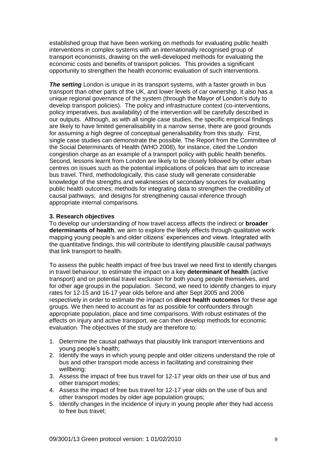established group that have been working on methods for evaluating public health interventions in complex systems with an internationally recognised group of transport economists, drawing on the well-developed methods for evaluating the economic costs and benefits of transport policies. This provides a significant opportunity to strengthen the health economic evaluation of such interventions.

**The setting** London is unique in its transport systems, with a faster growth in bus transport than other parts of the UK, and lower levels of car ownership. It also has a unique regional governance of the system (through the Mayor of London"s duty to develop transport policies). The policy and infrastructure context (co-interventions, policy imperatives, bus availability) of the intervention will be carefully described in our outputs. Although, as with all single case studies, the specific empirical findings are likely to have limited generalisability in a narrow sense, there are good grounds for assuming a high degree of conceptual generalisability from this study. First, single case studies can demonstrate the possible. The Report from the Committee of the Social Determinants of Health (WHO 2008), for instance, cited the London congestion charge as an example of a transport policy with public health benefits. Second, lessons learnt from London are likely to be closely followed by other urban centres on issues such as the potential implications of policies that aim to increase bus travel. Third, methodologically, this case study will generate considerable knowledge of the strengths and weaknesses of secondary sources for evaluating public health outcomes; methods for integrating data to strengthen the credibility of causal pathways; and designs for strengthening causal inference through appropriate internal comparisons.

### **3. Research objectives**

To develop our understanding of how travel access affects the indirect or **broader determinants of health**, we aim to explore the likely effects through qualitative work mapping young people"s and older citizens" experiences and views. Integrated with the quantitative findings, this will contribute to identifying plausible causal pathways that link transport to health.

To assess the public health impact of free bus travel we need first to identify changes in travel behaviour, to estimate the impact on a key **determinant of health** (active transport) and on potential travel exclusion for both young people themselves, and for other age groups in the population. Second, we need to identify changes to injury rates for 12-15 and 16-17 year olds before and after Sept 2005 and 2006 respectively in order to estimate the impact on **direct health outcomes** for these age groups. We then need to account as far as possible for confounders through appropriate population, place and time comparisons. With robust estimates of the effects on injury and active transport, we can then develop methods for economic evaluation. The objectives of the study are therefore to:

- 1. Determine the causal pathways that plausibly link transport interventions and young people"s health;
- 2. Identify the ways in which young people and older citizens understand the role of bus and other transport mode access in facilitating and constraining their wellbeing;
- 3. Assess the impact of free bus travel for 12-17 year olds on their use of bus and other transport modes;
- 4. Assess the impact of free bus travel for 12-17 year olds on the use of bus and other transport modes by older age population groups;
- 5. Identify changes in the incidence of injury in young people after they had access to free bus travel;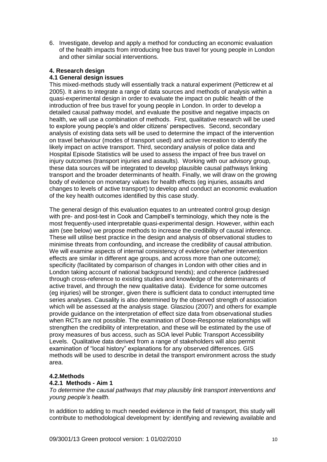6. Investigate, develop and apply a method for conducting an economic evaluation of the health impacts from introducing free bus travel for young people in London and other similar social interventions.

# **4. Research design**

# **4.1 General design issues**

This mixed-methods study will essentially track a natural experiment (Petticrew et al 2005). It aims to integrate a range of data sources and methods of analysis within a quasi-experimental design in order to evaluate the impact on public health of the introduction of free bus travel for young people in London. In order to develop a detailed causal pathway model, and evaluate the positive and negative impacts on health, we will use a combination of methods. First, qualitative research will be used to explore young people's and older citizens' perspectives. Second, secondary analysis of existing data sets will be used to determine the impact of the intervention on travel behaviour (modes of transport used) and active recreation to identify the likely impact on active transport. Third, secondary analysis of police data and Hospital Episode Statistics will be used to assess the impact of free bus travel on injury outcomes (transport injuries and assaults). Working with our advisory group, these data sources will be integrated to develop plausible causal pathways linking transport and the broader determinants of health. Finally, we will draw on the growing body of evidence on monetary values for health effects (eg injuries, assaults and changes to levels of active transport) to develop and conduct an economic evaluation of the key health outcomes identified by this case study.

The general design of this evaluation equates to an untreated control group design with pre- and post-test in Cook and Campbell's terminology, which they note is the most frequently-used interpretable quasi-experimental design. However, within each aim (see below) we propose methods to increase the credibility of causal inference. These will utilise best practice in the design and analysis of observational studies to minimise threats from confounding, and increase the credibility of causal attribution. We will examine aspects of internal consistency of evidence (whether intervention effects are similar in different age groups, and across more than one outcome); specificity (facilitated by comparison of changes in London with other cities and in London taking account of national background trends); and coherence (addressed through cross-reference to existing studies and knowledge of the determinants of active travel, and through the new qualitative data). Evidence for some outcomes (eg injuries) will be stronger, given there is sufficient data to conduct interrupted time series analyses. Causality is also determined by the observed strength of association which will be assessed at the analysis stage. Glasziou (2007) and others for example provide guidance on the interpretation of effect size data from observational studies when RCTs are not possible. The examination of Dose-Response relationships will strengthen the credibility of interpretation, and these will be estimated by the use of proxy measures of bus access, such as SOA level Public Transport Accessibility Levels. Qualitative data derived from a range of stakeholders will also permit examination of "local history" explanations for any observed differences. GIS methods will be used to describe in detail the transport environment across the study area.

# **4.2.Methods**

# **4.2.1 Methods - Aim 1**

*To determine the causal pathways that may plausibly link transport interventions and young people's health.*

In addition to adding to much needed evidence in the field of transport, this study will contribute to methodological development by: identifying and reviewing available and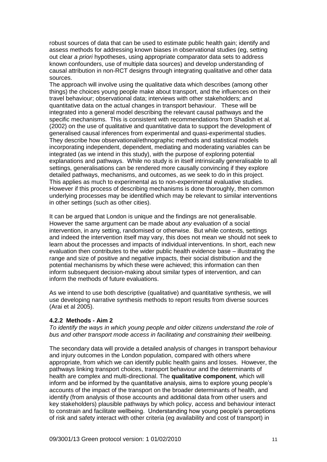robust sources of data that can be used to estimate public health gain; identify and assess methods for addressing known biases in observational studies (eg, setting out clear *a priori* hypotheses, using appropriate comparator data sets to address known confounders, use of multiple data sources) and develop understanding of causal attribution in non-RCT designs through integrating qualitative and other data sources.

The approach will involve using the qualitative data which describes (among other things) the choices young people make about transport, and the influences on their travel behaviour; observational data; interviews with other stakeholders; and quantitative data on the actual changes in transport behaviour. These will be integrated into a general model describing the relevant causal pathways and the specific mechanisms. This is consistent with recommendations from Shadish et al. (2002) on the use of qualitative and quantitative data to support the development of generalised causal inferences from experimental and quasi-experimental studies. They describe how observational/ethnographic methods and statistical models incorporating independent, dependent, mediating and moderating variables can be integrated (as we intend in this study), with the purpose of exploring potential explanations and pathways. While no study is in itself intrinsically generalisable to all settings, generalisations can be rendered more causally convincing if they explore detailed pathways, mechanisms, and outcomes, as we seek to do in this project. This applies as much to experimental as to non-experimental evaluative studies. However if this process of describing mechanisms is done thoroughly, then common underlying processes may be identified which may be relevant to similar interventions in other settings (such as other cities).

It can be argued that London is unique and the findings are not generalisable. However the same argument can be made about *any* evaluation of a social intervention, in any setting, randomised or otherwise. But while contexts, settings and indeed the intervention itself may vary, this does not mean we should not seek to learn about the processes and impacts of individual interventions. In short, each new evaluation then contributes to the wider public health evidence base – illustrating the range and size of positive and negative impacts, their social distribution and the potential mechanisms by which these were achieved; this information can then inform subsequent decision-making about similar types of intervention, and can inform the methods of future evaluations.

As we intend to use both descriptive (qualitative) and quantitative synthesis, we will use developing narrative synthesis methods to report results from diverse sources (Arai et al 2005).

### **4.2.2 Methods - Aim 2**

*To identify the ways in which young people and older citizens understand the role of bus and other transport mode access in facilitating and constraining their wellbeing.*

The secondary data will provide a detailed analysis of changes in transport behaviour and injury outcomes in the London population, compared with others where appropriate, from which we can identify public health gains and losses. However, the pathways linking transport choices, transport behaviour and the determinants of health are complex and multi-directional. The **qualitative component**, which will inform and be informed by the quantitative analysis, aims to explore young people"s accounts of the impact of the transport on the broader determinants of health, and identify (from analysis of those accounts and additional data from other users and key stakeholders) plausible pathways by which policy, access and behaviour interact to constrain and facilitate wellbeing. Understanding how young people"s perceptions of risk and safety interact with other criteria (eg availability and cost of transport) in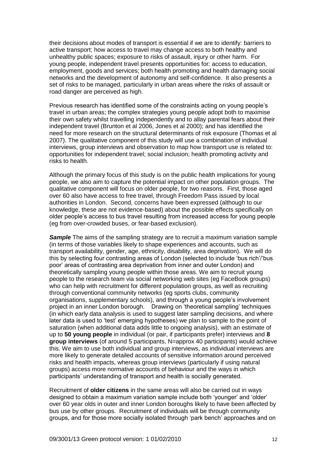their decisions about modes of transport is essential if we are to identify: barriers to active transport; how access to travel may change access to both healthy and unhealthy public spaces; exposure to risks of assault, injury or other harm. For young people, independent travel presents opportunities for: access to education, employment, goods and services; both health promoting and health damaging social networks and the development of autonomy and self-confidence. It also presents a set of risks to be managed, particularly in urban areas where the risks of assault or road danger are perceived as high.

Previous research has identified some of the constraints acting on young people"s travel in urban areas; the complex strategies young people adopt both to maximise their own safety whilst travelling independently and to allay parental fears about their independent travel (Brunton et al 2006, Jones et al 2000); and has identified the need for more research on the structural determinants of risk exposure (Thomas et al 2007). The qualitative component of this study will use a combination of individual interviews, group interviews and observation to map how transport use is related to: opportunities for independent travel; social inclusion; health promoting activity and risks to health.

Although the primary focus of this study is on the public health implications for young people, we also aim to capture the potential impact on other population groups. The qualitative component will focus on older people, for two reasons. First, those aged over 60 also have access to free travel, through Freedom Pass issued by local authorities in London. Second, concerns have been expressed (although to our knowledge, these are not evidence-based) about the possible effects specifically on older people"s access to bus travel resulting from increased access for young people (eg from over-crowded buses, or fear-based exclusion).

*Sample* The aims of the sampling strategy are to recruit a maximum variation sample (in terms of those variables likely to shape experiences and accounts, such as transport availability, gender, age, ethnicity, disability, area deprivation). We will do this by selecting four contrasting areas of London (selected to include "bus rich"/"bus poor" areas of contrasting area deprivation from inner and outer London) and theoretically sampling young people within those areas. We aim to recruit young people to the research team via social networking web sites (eg FaceBook groups) who can help with recruitment for different population groups, as well as recruiting through conventional community networks (eg sports clubs, community organisations, supplementary schools), and through a young people"s involvement project in an inner London borough. Drawing on "theoretical sampling" techniques (in which early data analysis is used to suggest later sampling decisions, and where later data is used to "test" emerging hypotheses) we plan to sample to the point of saturation (when additional data adds little to ongoing analysis), with an estimate of up to **50 young people** in individual (or pair, if participants prefer) interviews and **8 group interviews** (of around 5 participants, N=approx 40 participants) would achieve this. We aim to use both individual and group interviews, as individual interviews are more likely to generate detailed accounts of sensitive information around perceived risks and health impacts, whereas group interviews (particularly if using natural groups) access more normative accounts of behaviour and the ways in which participants" understanding of transport and health is socially generated.

Recruitment of **older citizens** in the same areas will also be carried out in ways designed to obtain a maximum variation sample include both "younger" and "older" over 60 year olds in outer and inner London boroughs likely to have been affected by bus use by other groups. Recruitment of individuals will be through community groups, and for those more socially isolated through "park bench" approaches and on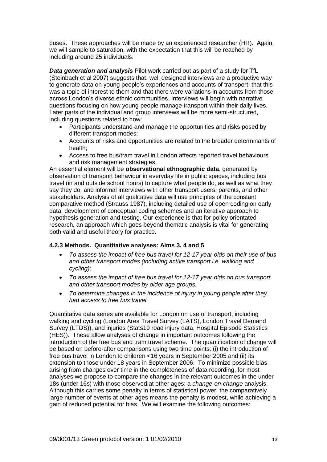buses. These approaches will be made by an experienced researcher (HR). Again, we will sample to saturation, with the expectation that this will be reached by including around 25 individuals.

*Data generation and analysis* Pilot work carried out as part of a study for TfL (Steinbach et al 2007) suggests that: well designed interviews are a productive way to generate data on young people"s experiences and accounts of transport; that this was a topic of interest to them and that there were variations in accounts from those across London"s diverse ethnic communities. Interviews will begin with narrative questions focusing on how young people manage transport within their daily lives. Later parts of the individual and group interviews will be more semi-structured, including questions related to how:

- Participants understand and manage the opportunities and risks posed by different transport modes;
- Accounts of risks and opportunities are related to the broader determinants of health;
- Access to free bus/tram travel in London affects reported travel behaviours and risk management strategies.

An essential element will be **observational ethnographic data**, generated by observation of transport behaviour in everyday life in public spaces, including bus travel (in and outside school hours) to capture what people do, as well as what they say they do, and informal interviews with other transport users, parents, and other stakeholders. Analysis of all qualitative data will use principles of the constant comparative method (Strauss 1987), including detailed use of open coding on early data, development of conceptual coding schemes and an iterative approach to hypothesis generation and testing. Our experience is that for policy orientated research, an approach which goes beyond thematic analysis is vital for generating both valid and useful theory for practice.

# **4.2.3 Methods. Quantitative analyses: Aims 3, 4 and 5**

- *To assess the impact of free bus travel for 12-17 year olds on their use of bus and other transport modes (including active transport i.e. walking and cycling);*
- *To assess the impact of free bus travel for 12-17 year olds on bus transport and other transport modes by older age groups.*
- *To determine changes in the incidence of injury in young people after they had access to free bus travel*

Quantitative data series are available for London on use of transport, including walking and cycling (London Area Travel Survey (LATS), London Travel Demand Survey (LTDS)), and injuries (Stats19 road injury data, Hospital Episode Statistics (HES)). These allow analyses of change in important outcomes following the introduction of the free bus and tram travel scheme. The quantification of change will be based on before-after comparisons using two time points: (i) the introduction of free bus travel in London to children <16 years in September 2005 and (ii) its extension to those under 18 years in September 2006. To minimize possible bias arising from changes over time in the completeness of data recording, for most analyses we propose to compare the changes in the relevant outcomes in the under 18s (under 16s) with those observed at other ages: a *change-on-change* analysis. Although this carries some penalty in terms of statistical power, the comparatively large number of events at other ages means the penalty is modest, while achieving a gain of reduced potential for bias. We will examine the following outcomes: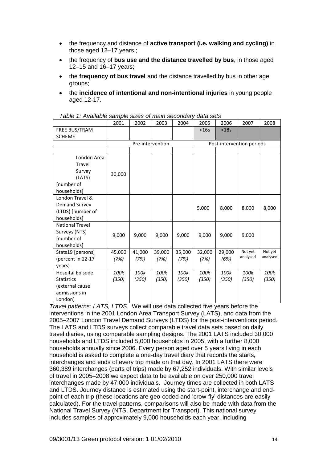- the frequency and distance of **active transport (i.e. walking and cycling)** in those aged 12–17 years ;
- the frequency of **bus use and the distance travelled by bus**, in those aged 12–15 and 16–17 years;
- the **frequency of bus travel** and the distance travelled by bus in other age groups;
- the **incidence of intentional and non-intentional injuries** in young people aged 12-17.

| rable 1. Available sample sizes or main secondary | 2001           | 2002             | 2003           | 2004           | uuw oolo<br>2005          | 2006           | 2007     | 2008     |  |  |
|---------------------------------------------------|----------------|------------------|----------------|----------------|---------------------------|----------------|----------|----------|--|--|
| FREE BUS/TRAM                                     |                |                  |                |                | $<$ 16s                   | $<$ 18 $s$     |          |          |  |  |
| <b>SCHEME</b>                                     |                |                  |                |                |                           |                |          |          |  |  |
|                                                   |                | Pre-intervention |                |                | Post-intervention periods |                |          |          |  |  |
|                                                   |                |                  |                |                |                           |                |          |          |  |  |
| London Area                                       |                |                  |                |                |                           |                |          |          |  |  |
| Travel                                            |                |                  |                |                |                           |                |          |          |  |  |
| Survey                                            | 30,000         |                  |                |                |                           |                |          |          |  |  |
| (LATS)                                            |                |                  |                |                |                           |                |          |          |  |  |
| [number of                                        |                |                  |                |                |                           |                |          |          |  |  |
| households]                                       |                |                  |                |                |                           |                |          |          |  |  |
| London Travel &                                   |                |                  |                |                |                           |                |          |          |  |  |
| Demand Survey                                     |                |                  |                |                | 5,000                     | 8,000          | 8,000    | 8,000    |  |  |
| (LTDS) [number of                                 |                |                  |                |                |                           |                |          |          |  |  |
| households]                                       |                |                  |                |                |                           |                |          |          |  |  |
| <b>National Travel</b>                            |                |                  |                |                |                           |                |          |          |  |  |
| Surveys (NTS)                                     | 9,000          | 9,000            | 9,000          | 9,000          | 9,000                     | 9,000          | 9,000    |          |  |  |
| [number of                                        |                |                  |                |                |                           |                |          |          |  |  |
| households]                                       |                |                  |                |                |                           |                | Not yet  | Not yet  |  |  |
| Stats19 [persons]                                 | 45,000<br>(7%) | 41,000<br>(7%)   | 39,000<br>(7%) | 35,000<br>(7%) | 32,000<br>(7%)            | 29,000<br>(6%) | analysed | analysed |  |  |
| (percent in 12-17<br>years)                       |                |                  |                |                |                           |                |          |          |  |  |
| Hospital Episode                                  | 100k           | 100k             | 100k           | 100k           | 100k                      | 100k           | 100k     | 100k     |  |  |
| <b>Statistics</b>                                 | (350)          | (350)            | (350)          | (350)          | (350)                     | (350)          | (350)    | (350)    |  |  |
| (external cause                                   |                |                  |                |                |                           |                |          |          |  |  |
| admissions in                                     |                |                  |                |                |                           |                |          |          |  |  |
| London)                                           |                |                  |                |                |                           |                |          |          |  |  |

*Travel patterns: LATS, LTDS*. We will use data collected five years before the interventions in the 2001 London Area Transport Survey (LATS), and data from the 2005–2007 London Travel Demand Surveys (LTDS) for the post-interventions period. The LATS and LTDS surveys collect comparable travel data sets based on daily travel diaries, using comparable sampling designs. The 2001 LATS included 30,000 households and LTDS included 5,000 households in 2005, with a further 8,000 households annually since 2006. Every person aged over 5 years living in each household is asked to complete a one-day travel diary that records the starts, interchanges and ends of every trip made on that day. In 2001 LATS there were 360,389 interchanges (parts of trips) made by 67,252 individuals. With similar levels of travel in 2005–2008 we expect data to be available on over 250,000 travel interchanges made by 47,000 individuals. Journey times are collected in both LATS and LTDS. Journey distance is estimated using the start-point, interchange and endpoint of each trip (these locations are geo-coded and "crow-fly" distances are easily calculated). For the travel patterns, comparisons will also be made with data from the National Travel Survey (NTS, Department for Transport). This national survey includes samples of approximately 9,000 households each year, including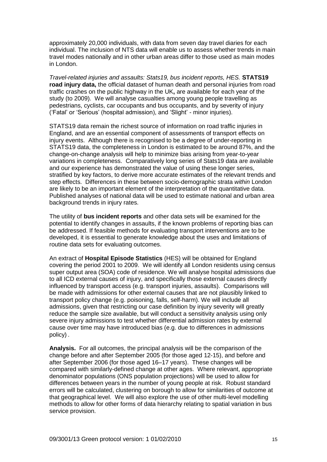approximately 20,000 individuals, with data from seven day travel diaries for each individual. The inclusion of NTS data will enable us to assess whether trends in main travel modes nationally and in other urban areas differ to those used as main modes in London.

*Travel-related injuries and assaults: Stats19, bus incident reports, HES.* **STATS19 road injury data,** the official dataset of human death and personal injuries from road traffic crashes on the public highway in the UK**,** are available for each year of the study (to 2009). We will analyse casualties among young people travelling as pedestrians, cyclists, car occupants and bus occupants, and by severity of injury ("Fatal" or "Serious" (hospital admission), and "Slight" - minor injuries).

STATS19 data remain the richest source of information on road traffic injuries in England, and are an essential component of assessments of transport effects on injury events. Although there is recognised to be a degree of under-reporting in STATS19 data, the completeness in London is estimated to be around 87%, and the change-on-change analysis will help to minimize bias arising from year-to-year variations in completeness. Comparatively long series of Stats19 data are available and our experience has demonstrated the value of using these longer series, stratified by key factors, to derive more accurate estimates of the relevant trends and step effects. Differences in these between socio-demographic strata *within* London are likely to be an important element of the interpretation of the quantitative data. Published analyses of national data will be used to estimate national and urban area background trends in injury rates.

The utility of **bus incident reports** and other data sets will be examined for the potential to identify changes in assaults, if the known problems of reporting bias can be addressed. If feasible methods for evaluating transport interventions are to be developed, it is essential to generate knowledge about the uses and limitations of routine data sets for evaluating outcomes.

An extract of **Hospital Episode Statistics** (HES) will be obtained for England covering the period 2001 to 2009. We will identify all London residents using census super output area (SOA) code of residence. We will analyse hospital admissions due to all ICD external causes of injury, and specifically those external causes directly influenced by transport access (e.g. transport injuries, assaults). Comparisons will be made with admissions for other external causes that are not plausibly linked to transport policy change (e.g. poisoning, falls, self-harm). We will include all admissions, given that restricting our case definition by injury severity will greatly reduce the sample size available, but will conduct a sensitivity analysis using only severe injury admissions to test whether differential admission rates by external cause over time may have introduced bias (e.g. due to differences in admissions policy) .

**Analysis.** For all outcomes, the principal analysis will be the comparison of the change before and after September 2005 (for those aged 12-15), and before and after September 2006 (for those aged 16–17 years). These changes will be compared with similarly-defined change at other ages. Where relevant, appropriate denominator populations (ONS population projections) will be used to allow for differences between years in the number of young people at risk. Robust standard errors will be calculated, clustering on borough to allow for similarities of outcome at that geographical level. We will also explore the use of other multi-level modelling methods to allow for other forms of data hierarchy relating to spatial variation in bus service provision.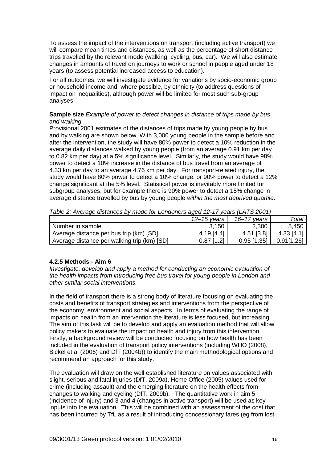To assess the impact of the interventions on transport (including active transport) we will compare mean times and distances, as well as the percentage of short distance trips travelled by the relevant mode (walking, cycling, bus, car). We will also estimate changes in amounts of travel on journeys to work or school in people aged under 18 years (to assess potential increased access to education).

For all outcomes, we will investigate evidence for variations by socio-economic group or household income and, where possible, by ethnicity (to address questions of impact on inequalities), although power will be limited for most such sub-group analyses.

## **Sample size** *Example of power to detect changes in distance of trips made by bus and walking*

Provisional 2001 estimates of the distances of trips made by young people by bus and by walking are shown below. With 3,000 young people in the sample before and after the intervention, the study will have 80% power to detect a 10% reduction in the average daily distances walked by young people (from an average 0.91 km per day to 0.82 km per day) at a 5% significance level. Similarly, the study would have 98% power to detect a 10% increase in the distance of bus travel from an average of 4.33 km per day to an average 4.76 km per day. For transport-related injury, the study would have 80% power to detect a 10% change, or 90% power to detect a 12% change significant at the 5% level. Statistical power is inevitably more limited for subgroup analyses, but for example there is 90% power to detect a 15% change in average distance travelled by bus by young people *within the most deprived quartile*.

|                                             | 12–15 vears  | $16 - 17$ years | Total      |
|---------------------------------------------|--------------|-----------------|------------|
| Number in sample                            | 3,150        | 2,300           | 5,450      |
| Average distance per bus trip (km) [SD]     | 4.19[4.4]    | 4.51 [3.8]      | 4.33 [4.1] |
| Average distance per walking trip (km) [SD] | $0.87$ [1.2] | $0.95$ [1.35]   | 0.91[1.26] |

*Table 2: Average distances by mode for Londoners aged 12-17 years (LATS 2001)*

# **4.2.5 Methods - Aim 6**

*Investigate, develop and apply a method for conducting an economic evaluation of the health impacts from introducing free bus travel for young people in London and other similar social interventions.*

In the field of transport there is a strong body of literature focusing on evaluating the costs and benefits of transport strategies and interventions from the perspective of the economy, environment and social aspects. In terms of evaluating the range of impacts on health from an intervention the literature is less focused, but increasing. The aim of this task will be to develop and apply an evaluation method that will allow policy makers to evaluate the impact on health and injury from this intervention. Firstly, a background review will be conducted focusing on how health has been included in the evaluation of transport policy interventions (including WHO (2008), Bickel et al (2006) and DfT (2004b)) to identify the main methodological options and recommend an approach for this study.

The evaluation will draw on the well established literature on values associated with slight, serious and fatal injuries (DfT, 2009a), Home Office (2005) values used for crime (including assault) and the emerging literature on the health effects from changes to walking and cycling (DfT, 2009b). The quantitative work in aim 5 (incidence of injury) and 3 and 4 (changes in active transport) will be used as key inputs into the evaluation. This will be combined with an assessment of the cost that has been incurred by TfL as a result of introducing concessionary fares (eg from lost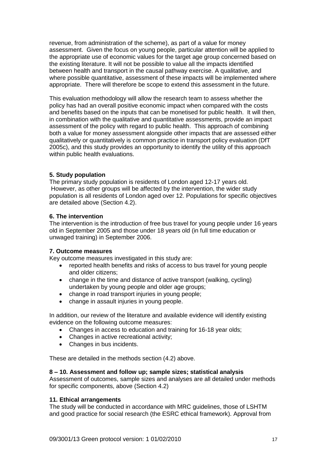revenue, from administration of the scheme), as part of a value for money assessment. Given the focus on young people, particular attention will be applied to the appropriate use of economic values for the target age group concerned based on the existing literature. It will not be possible to value all the impacts identified between health and transport in the causal pathway exercise. A qualitative, and where possible quantitative, assessment of these impacts will be implemented where appropriate. There will therefore be scope to extend this assessment in the future.

This evaluation methodology will allow the research team to assess whether the policy has had an overall positive economic impact when compared with the costs and benefits based on the inputs that can be monetised for public health. It will then, in combination with the qualitative and quantitative assessments, provide an impact assessment of the policy with regard to public health. This approach of combining both a value for money assessment alongside other impacts that are assessed either qualitatively or quantitatively is common practice in transport policy evaluation (DfT 2005c), and this study provides an opportunity to identify the utility of this approach within public health evaluations.

### **5. Study population**

The primary study population is residents of London aged 12-17 years old. However, as other groups will be affected by the intervention, the wider study population is all residents of London aged over 12. Populations for specific objectives are detailed above (Section 4.2).

### **6. The intervention**

The intervention is the introduction of free bus travel for young people under 16 years old in September 2005 and those under 18 years old (in full time education or unwaged training) in September 2006.

### **7. Outcome measures**

Key outcome measures investigated in this study are:

- reported health benefits and risks of access to bus travel for young people and older citizens;
- change in the time and distance of active transport (walking, cycling) undertaken by young people and older age groups;
- change in road transport injuries in young people;
- change in assault injuries in young people.

In addition, our review of the literature and available evidence will identify existing evidence on the following outcome measures:

- Changes in access to education and training for 16-18 year olds:
- Changes in active recreational activity:
- Changes in bus incidents.

These are detailed in the methods section (4.2) above.

### **8 – 10. Assessment and follow up; sample sizes; statistical analysis**

Assessment of outcomes, sample sizes and analyses are all detailed under methods for specific components, above (Section 4.2)

### **11. Ethical arrangements**

The study will be conducted in accordance with MRC guidelines, those of LSHTM and good practice for social research (the ESRC ethical framework). Approval from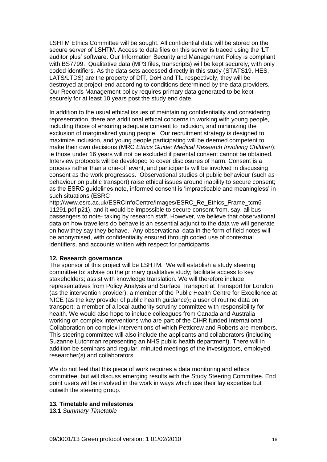LSHTM Ethics Committee will be sought. All confidential data will be stored on the secure server of LSHTM. Access to data files on this server is traced using the "LT auditor plus" software. Our Information Security and Management Policy is compliant with BS7799. Qualitative data (MP3 files, transcripts) will be kept securely, with only coded identifiers. As the data sets accessed directly in this study (STATS19, HES, LATS/LTDS) are the property of DfT, DoH and TfL respectively, they will be destroyed at project-end according to conditions determined by the data providers. Our Records Management policy requires primary data generated to be kept securely for at least 10 years post the study end date.

In addition to the usual ethical issues of maintaining confidentiality and considering representation, there are additional ethical concerns in working with young people, including those of ensuring adequate consent to inclusion, and minimizing the exclusion of marginalized young people. Our recruitment strategy is designed to maximize inclusion, and young people participating will be deemed competent to make their own decisions (MRC *Ethics Guide: Medical Research Involving Children*); ie those under 16 years will not be excluded if parental consent cannot be obtained. Interview protocols will be developed to cover disclosures of harm. Consent is a process rather than a one-off event, and participants will be involved in discussing consent as the work progresses. Observational studies of public behaviour (such as behaviour on public transport) raise ethical issues around inability to secure consent; as the ESRC guidelines note, informed consent is "impracticable and meaningless" in such situations (ESRC

http://www.esrc.ac.uk/ESRCInfoCentre/Images/ESRC\_Re\_Ethics\_Frame\_tcm6- 11291.pdf p21), and it would be impossible to secure consent from, say, all bus passengers to note- taking by research staff. However, we believe that observational data on how travellers do behave is an essential adjunct to the data we will generate on how they say they behave. Any observational data in the form of field notes will be anonymised, with confidentiality ensured through coded use of contextual identifiers, and accounts written with respect for participants.

### **12. Research governance**

The sponsor of this project will be LSHTM. We will establish a study steering committee to: advise on the primary qualitative study; facilitate access to key stakeholders; assist with knowledge translation. We will therefore include representatives from Policy Analysis and Surface Transport at Transport for London (as the intervention provider), a member of the Public Health Centre for Excellence at NICE (as the key provider of public health guidance)**;** a user of routine data on transport; a member of a local authority scrutiny committee with responsibility for health. We would also hope to include colleagues from Canada and Australia working on complex interventions who are part of the CIHR funded International Collaboration on complex interventions of which Petticrew and Roberts are members. This steering committee will also include the applicants and collaborators (including Suzanne Lutchman representing an NHS public health department). There will in addition be seminars and regular, minuted meetings of the investigators, employed researcher(s) and collaborators.

We do not feel that this piece of work requires a data monitoring and ethics committee, but will discuss emerging results with the Study Steering Committee. End point users will be involved in the work in ways which use their lay expertise but outwith the steering group.

#### **13. Timetable and milestones**

**13.1** *Summary Timetable*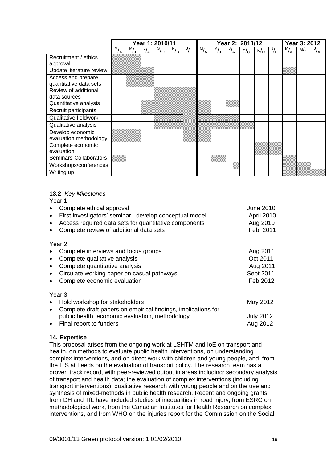|                          | Year 1: 2010/11 |                    |               |                | Year 2: 2011/12 |               |               |               |               |              | Year 3: 2012 |                       |                 |     |               |
|--------------------------|-----------------|--------------------|---------------|----------------|-----------------|---------------|---------------|---------------|---------------|--------------|--------------|-----------------------|-----------------|-----|---------------|
|                          | $\frac{M}{A}$   | $\overline{M}_{J}$ | $\frac{J}{A}$ | $S_{\text{O}}$ | $N_{\text{D}}$  | $\frac{J}{F}$ | $\frac{M}{A}$ | $\frac{M}{2}$ | $\frac{J}{A}$ | $s/_{\rm O}$ | N/D          | $\sqrt{\overline{F}}$ | $\frac{1}{M_A}$ | M/J | $\frac{J}{A}$ |
| Recruitment / ethics     |                 |                    |               |                |                 |               |               |               |               |              |              |                       |                 |     |               |
| approval                 |                 |                    |               |                |                 |               |               |               |               |              |              |                       |                 |     |               |
| Update literature review |                 |                    |               |                |                 |               |               |               |               |              |              |                       |                 |     |               |
| Access and prepare       |                 |                    |               |                |                 |               |               |               |               |              |              |                       |                 |     |               |
| quantitative data sets   |                 |                    |               |                |                 |               |               |               |               |              |              |                       |                 |     |               |
| Review of additional     |                 |                    |               |                |                 |               |               |               |               |              |              |                       |                 |     |               |
| data sources             |                 |                    |               |                |                 |               |               |               |               |              |              |                       |                 |     |               |
| Quantitative analysis    |                 |                    |               |                |                 |               |               |               |               |              |              |                       |                 |     |               |
| Recruit participants     |                 |                    |               |                |                 |               |               |               |               |              |              |                       |                 |     |               |
| Qualitative fieldwork    |                 |                    |               |                |                 |               |               |               |               |              |              |                       |                 |     |               |
| Qualitative analysis     |                 |                    |               |                |                 |               |               |               |               |              |              |                       |                 |     |               |
| Develop economic         |                 |                    |               |                |                 |               |               |               |               |              |              |                       |                 |     |               |
| evaluation methodology   |                 |                    |               |                |                 |               |               |               |               |              |              |                       |                 |     |               |
| Complete economic        |                 |                    |               |                |                 |               |               |               |               |              |              |                       |                 |     |               |
| evaluation               |                 |                    |               |                |                 |               |               |               |               |              |              |                       |                 |     |               |
| Seminars-Collaborators   |                 |                    |               |                |                 |               |               |               |               |              |              |                       |                 |     |               |
| Workshops/conferences    |                 |                    |               |                |                 |               |               |               |               |              |              |                       |                 |     |               |
| Writing up               |                 |                    |               |                |                 |               |               |               |               |              |              |                       |                 |     |               |

### **13.2** *Key Milestones*

Year 1

| Complete ethical approval<br>First investigators' seminar -develop conceptual model<br>$\bullet$<br>Access required data sets for quantitative components<br>Complete review of additional data sets | <b>June 2010</b><br>April 2010<br>Aug 2010<br>Feb 2011    |
|------------------------------------------------------------------------------------------------------------------------------------------------------------------------------------------------------|-----------------------------------------------------------|
| Year 2                                                                                                                                                                                               |                                                           |
| Complete interviews and focus groups<br>Complete qualitative analysis<br>Complete quantitative analysis<br>Circulate working paper on casual pathways<br>Complete economic evaluation                | Aug 2011<br>Oct 2011<br>Aug 2011<br>Sept 2011<br>Feb 2012 |
| Year 3                                                                                                                                                                                               |                                                           |
| Hold workshop for stakeholders                                                                                                                                                                       | May 2012                                                  |
| Complete draft papers on empirical findings, implications for<br>$\bullet$                                                                                                                           |                                                           |
| public health, economic evaluation, methodology                                                                                                                                                      | <b>July 2012</b>                                          |
| Final report to funders                                                                                                                                                                              | Aug 2012                                                  |

# **14. Expertise**

This proposal arises from the ongoing work at LSHTM and IoE on transport and health, on methods to evaluate public health interventions, on understanding complex interventions, and on direct work with children and young people, and from the ITS at Leeds on the evaluation of transport policy. The research team has a proven track record, with peer-reviewed output in areas including: secondary analysis of transport and health data; the evaluation of complex interventions (including transport interventions); qualitative research with young people and on the use and synthesis of mixed-methods in public health research. Recent and ongoing grants from DH and TfL have included studies of inequalities in road injury, from ESRC on methodological work, from the Canadian Institutes for Health Research on complex interventions, and from WHO on the injuries report for the Commission on the Social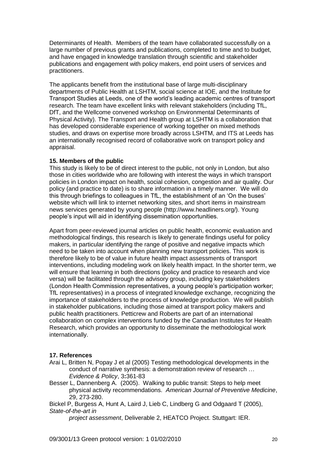Determinants of Health. Members of the team have collaborated successfully on a large number of previous grants and publications, completed to time and to budget, and have engaged in knowledge translation through scientific and stakeholder publications and engagement with policy makers, end point users of services and practitioners.

The applicants benefit from the institutional base of large multi-disciplinary departments of Public Health at LSHTM, social science at IOE, and the Institute for Transport Studies at Leeds, one of the world"s leading academic centres of transport research. The team have excellent links with relevant stakeholders (including TfL, DfT, and the Wellcome convened workshop on Environmental Determinants of Physical Activity). The Transport and Health group at LSHTM is a collaboration that has developed considerable experience of working together on mixed methods studies, and draws on expertise more broadly across LSHTM, and ITS at Leeds has an internationally recognised record of collaborative work on transport policy and appraisal.

### **15. Members of the public**

This study is likely to be of direct interest to the public, not only in London, but also those in cities worldwide who are following with interest the ways in which transport policies in London impact on health, social cohesion, congestion and air quality. Our policy (and practice to date) is to share information in a timely manner. We will do this through briefings to colleagues in TfL, the establishment of an "On the buses" website which will link to internet networking sites, and short items in mainstream news services generated by young people (http://www.headliners.org/). Young people"s input will aid in identifying dissemination opportunities.

Apart from peer-reviewed journal articles on public health, economic evaluation and methodological findings, this research is likely to generate findings useful for policy makers, in particular identifying the range of positive and negative impacts which need to be taken into account when planning new transport policies. This work is therefore likely to be of value in future health impact assessments of transport interventions, including modeling work on likely health impact. In the shorter term, we will ensure that learning in both directions (policy and practice to research and vice versa) will be facilitated through the advisory group, including key stakeholders (London Health Commission representatives, a young people"s participation worker; TfL representatives) in a process of integrated knowledge exchange, recognizing the importance of stakeholders to the process of knowledge production. We will publish in stakeholder publications, including those aimed at transport policy makers and public health practitioners. Petticrew and Roberts are part of an international collaboration on complex interventions funded by the Canadian Institutes for Health Research, which provides an opportunity to disseminate the methodological work internationally.

### **17. References**

- Arai L, Britten N, Popay J et al (2005) Testing methodological developments in the conduct of narrative synthesis: a demonstration review of research … *Evidence & Policy*, 3**:**361-83
- Besser L, Dannenberg A. (2005). Walking to public transit: Steps to help meet physical activity recommendations. *American Journal of Preventive Medicine*, 29, 273-280.

Bickel P, Burgess A, Hunt A, Laird J, Lieb C, Lindberg G and Odgaard T (2005), *State-of-the-art in* 

*project assessment*, Deliverable 2, HEATCO Project. Stuttgart: IER.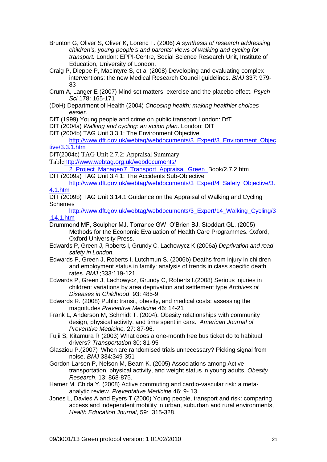- Brunton G, Oliver S, Oliver K, Lorenc T. (2006) *A synthesis of research addressing children's, young people's and parents' views of walking and cycling for transport.* London: EPPI-Centre, Social Science Research Unit, Institute of Education, University of London.
- Craig P, Dieppe P, Macintyre S, et al (2008) Developing and evaluating complex interventions: the new Medical Research Council guidelines. *BMJ* 337: 979- 83
- Crum A, Langer E (2007) Mind set matters: exercise and the placebo effect. *Psych Sci* 178: 165-171
- (DoH) Department of Health (2004) *Choosing health: making healthier choices easier.*
- DfT (1999) Young people and crime on public transport London: DfT
- DfT (2004a) *Walking and cycling: an action plan*. London: DfT
- DfT (2004b) TAG Unit 3.3.1: The Environment Objective

[http://www.dft.gov.uk/webtag/webdocuments/3\\_Expert/3\\_Environment\\_Objec](http://www.dft.gov.uk/webtag/webdocuments/3_Expert/3_Environment_Objective/3.3.1.htm) [tive/3.3.1.htm](http://www.dft.gov.uk/webtag/webdocuments/3_Expert/3_Environment_Objective/3.3.1.htm)

DfT(2004c) TAG Unit 2.7.2: Appraisal Summary

Table[http://www.webtag.org.uk/webdocuments/](http://www.webtag.org.uk/webdocuments/%20%20%20%20%092_Project_Manager/7_Transport_Appraisal_Green_) 

[2\\_Project\\_Manager/7\\_Transport\\_Appraisal\\_Green\\_B](http://www.webtag.org.uk/webdocuments/%20%20%20%20%092_Project_Manager/7_Transport_Appraisal_Green_)ook/2.7.2.htm

DfT (2009a) TAG Unit 3.4.1: The Accidents Sub-Objective [http://www.dft.gov.uk/webtag/webdocuments/3\\_Expert/4\\_Safety\\_Objective/3.](http://www.dft.gov.uk/webtag/webdocuments/3_Expert/4_Safety_Objective/3.4.1.htm)

[4.1.htm](http://www.dft.gov.uk/webtag/webdocuments/3_Expert/4_Safety_Objective/3.4.1.htm)

DfT (2009b) TAG Unit 3.14.1 Guidance on the Appraisal of Walking and Cycling **Schemes** 

[http://www.dft.gov.uk/webtag/webdocuments/3\\_Expert/14\\_Walking\\_Cycling/3](http://www.dft.gov.uk/webtag/webdocuments/3_Expert/14_Walking_Cycling/3.14.1.htm) [.14.1.htm](http://www.dft.gov.uk/webtag/webdocuments/3_Expert/14_Walking_Cycling/3.14.1.htm)

- Drummond MF, Sculpher MJ, Torrance GW, O"Brien BJ, Stoddart GL. (2005) Methods for the Economic Evaluation of Health Care Programmes. Oxford, Oxford University Press.
- Edwards P, Green J, Roberts I, Grundy C, Lachowycz K (2006a) *Deprivation and road safety in London*.
- Edwards P, Green J, Roberts I, Lutchmun S. (2006b) Deaths from injury in children and employment status in family: analysis of trends in class specific death rates. *BMJ* ;333:119-121.
- Edwards P, Green J, Lachowycz, Grundy C, Roberts I.(2008) Serious injuries in children: variations by area deprivation and settlement type *Archives of Diseases in Childhood* 93: 485-9

Edwards R. (2008) Public transit, obesity, and medical costs: assessing the magnitudes *Preventive Medicine* 46: 14-21

Frank L, Anderson M, Schmidt T. (2004). Obesity relationships with community design, physical activity, and time spent in cars. *American Journal of Preventive Medicine,* 27: 87-96.

Fujii S, Kitamura R (2003) What does a one-month free bus ticket do to habitual drivers? *Transportation* 30: 81-95

Glasziou P.(2007) When are randomised trials unnecessary? Picking signal from noise. *BMJ* 334:349-351

Gordon-Larsen P, Nelson M, Beam K. (2005) Associations among Active transportation, physical activity, and weight status in young adults. *Obesity Research*, 13: 868-875.

- Hamer M, Chida Y. (2008) Active commuting and cardio-vascular risk: a metaanalytic review. *Preventative Medicine* 46: 9- 13.
- Jones L, Davies A and Eyers T (2000) Young people, transport and risk: comparing access and independent mobility in urban, suburban and rural environments, *Health Education Journal*, 59: 315-328.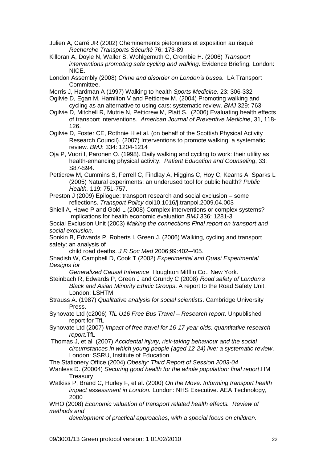- Julien A, Carré JR (2002) Cheminements pietonniers et exposition au risqué *Recherche Transports Sécurité* 76: 173-89
- Killoran A, Doyle N, Waller S, Wohlgemuth C, Crombie H. (2006) *Transport interventions promoting safe cycling and walking*. Evidence Briefing. London: NICE.
- London Assembly (2008) *Crime and disorder on London's buses*. LA Transport Committee.
- Morris J, Hardman A (1997) Walking to health *Sports Medicine*. 23: 306-332
- Ogilvie D, Egan M, Hamilton V and Petticrew M. (2004) Promoting walking and cycling as an alternative to using cars: systematic review. *BMJ* 329: 763-
- Ogilvie D, Mitchell R, Mutrie N, Petticrew M, Platt S. (2006) Evaluating health effects of transport interventions. *American Journal of Preventive Medicine*, 31, 118- 126.
- Ogilvie D, Foster CE, Rothnie H et al. (on behalf of the Scottish Physical Activity Research Council). (2007) Interventions to promote walking: a systematic review. *BMJ*: 334: 1204-1214
- Oja P, Vuori I, Paronen O. (1998). Daily walking and cycling to work: their utility as health-enhancing physical activity. *Patient Education and Counseling*, 33: S87-S94.
- Petticrew M, Cummins S, Ferrell C, Findlay A, Higgins C, Hoy C, Kearns A, Sparks L (2005) Natural experiments: an underused tool for public health? *Public Health,* 119: 751-757.
- Preston J (2009) Epilogue: transport research and social exclusion some reflections. *Transport Policy* doi10.1016/j.tranpol.2009.04.003
- Shiell A, Hawe P and Gold L (2008) Complex interventions or complex systems? Implications for health economic evaluation *BMJ* 336: 1281-3
- Social Exclusion Unit (2003) *Making the connections Final report on transport and social exclusion*.
- Sonkin B, Edwards P, Roberts I, Green J. (2006) Walking, cycling and transport safety: an analysis of
	- child road deaths. *J R Soc Med* 2006;99:402–405.
- Shadish W, Campbell D, Cook T (2002) *Experimental and Quasi Experimental Designs for*

*Generalized Causal Inference* Houghton Mifflin Co., New York.

- Steinbach R, Edwards P, Green J and Grundy C (2008) *Road safety of London's Black and Asian Minority Ethnic Groups*. A report to the Road Safety Unit. London: LSHTM
- Strauss A. (1987) *Qualitative analysis for social scientists*. Cambridge University Press.
- Synovate Ltd (c2006) *TfL U16 Free Bus Travel – Research report*. Unpublished report for TfL
- Synovate Ltd (2007) *Impact of free travel for 16-17 year olds: quantitative research report.*TfL
- Thomas J, et al (2007) *Accidental injury, risk-taking behaviour and the social circumstances in which young people (aged 12-24) live: a systematic review*. London: SSRU, Institute of Education.
- The Stationery Office (2004) *Obesity: Third Report of Session 2003-04*
- Wanless D. (20004) *Securing good health for the whole population: final report*.HM **Treasury**
- Watkiss P, Brand C, Hurley F, et al. (2000) *On the Move. Informing transport health impact assessment in London.* London: NHS Executive. AEA Technology, 2000
- WHO (2008) *Economic valuation of transport related health effects. Review of methods and* 
	- *development of practical approaches, with a special focus on children.*